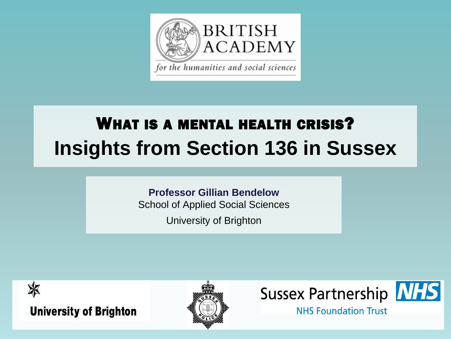

## WHAT IS A MENTAL HEALTH CRISIS? **Insights from Section 136 in Sussex**

#### **Professor Gillian Bendelow**

School of Applied Social Sciences

University of Brighton







**NHS Foundation Trust**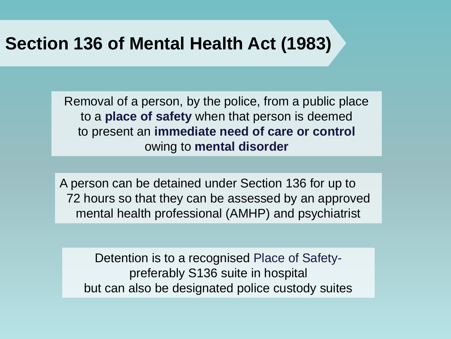### **Section 136 of Mental Health Act (1983)**

Removal of a person, by the police, from a public place to a **place of safety** when that person is deemed to present an **immediate need of care or control**  owing to **mental disorder**

A person can be detained under Section 136 for up to 72 hours so that they can be assessed by an approved mental health professional (AMHP) and psychiatrist

Detention is to a recognised Place of Safetypreferably S136 suite in hospital but can also be designated police custody suites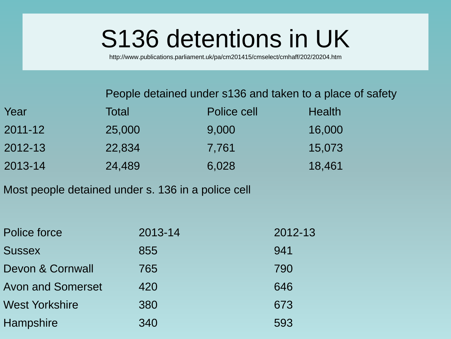# S136 detentions in UK

http://www.publications.parliament.uk/pa/cm201415/cmselect/cmhaff/202/20204.htm

People detained under s136 and taken to a place of safety

| Year        | Total  | Police cell | <b>Health</b> |
|-------------|--------|-------------|---------------|
| $2011 - 12$ | 25,000 | 9,000       | 16,000        |
| 2012-13     | 22,834 | 7,761       | 15,073        |
| 2013-14     | 24,489 | 6,028       | 18,461        |

Most people detained under s. 136 in a police cell

| Police force             | 2013-14 | 2012-13 |  |
|--------------------------|---------|---------|--|
| <b>Sussex</b>            | 855     | 941     |  |
| Devon & Cornwall         | 765     | 790     |  |
| <b>Avon and Somerset</b> | 420     | 646     |  |
| <b>West Yorkshire</b>    | 380     | 673     |  |
| Hampshire                | 340     | 593     |  |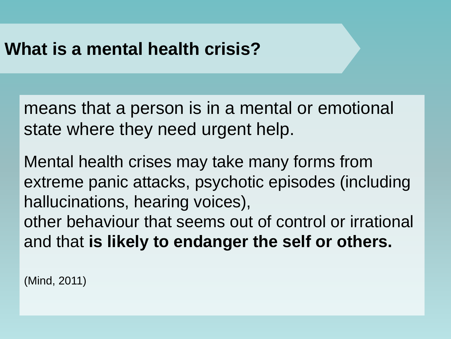### **What is a mental health crisis?**

means that a person is in a mental or emotional state where they need urgent help.

Mental health crises may take many forms from extreme panic attacks, psychotic episodes (including hallucinations, hearing voices), other behaviour that seems out of control or irrational and that **is likely to endanger the self or others.**

(Mind, 2011)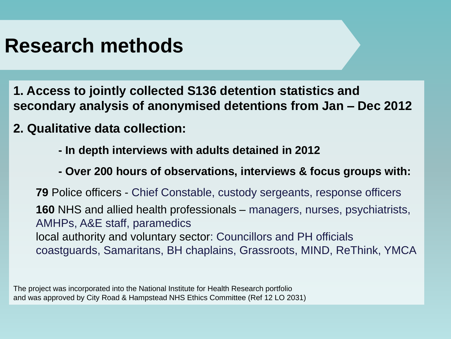### **Research methods**

- **1. Access to jointly collected S136 detention statistics and secondary analysis of anonymised detentions from Jan – Dec 2012**
- **2. Qualitative data collection:** 
	- **- In depth interviews with adults detained in 2012**
	- **- Over 200 hours of observations, interviews & focus groups with:**

**79** Police officers - Chief Constable, custody sergeants, response officers **160** NHS and allied health professionals – managers, nurses, psychiatrists, AMHPs, A&E staff, paramedics local authority and voluntary sector: Councillors and PH officials coastguards, Samaritans, BH chaplains, Grassroots, MIND, ReThink, YMCA

The project was incorporated into the National Institute for Health Research portfolio and was approved by City Road & Hampstead NHS Ethics Committee (Ref 12 LO 2031)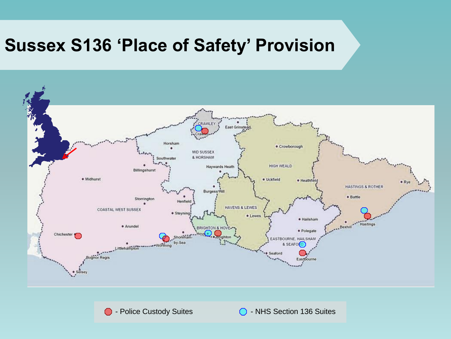### **Sussex S136 'Place of Safety' Provision**



∩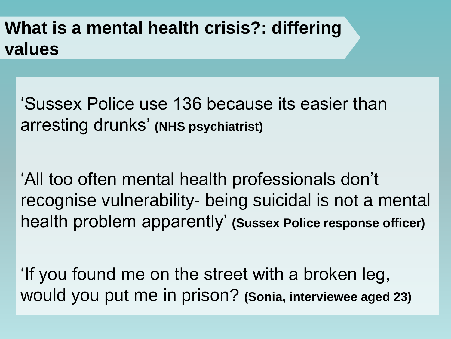### **What is a mental health crisis?: differing values**

'Sussex Police use 136 because its easier than arresting drunks' **(NHS psychiatrist)**

'All too often mental health professionals don't recognise vulnerability- being suicidal is not a mental health problem apparently' **(Sussex Police response officer)**

'If you found me on the street with a broken leg, would you put me in prison? **(Sonia, interviewee aged 23)**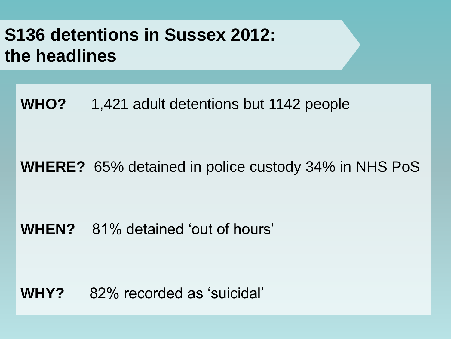### **S136 detentions in Sussex 2012: the headlines**

**WHO?** 1,421 adult detentions but 1142 people

#### **WHERE?** 65% detained in police custody 34% in NHS PoS

#### **WHEN?** 81% detained 'out of hours'

### **WHY?** 82% recorded as 'suicidal'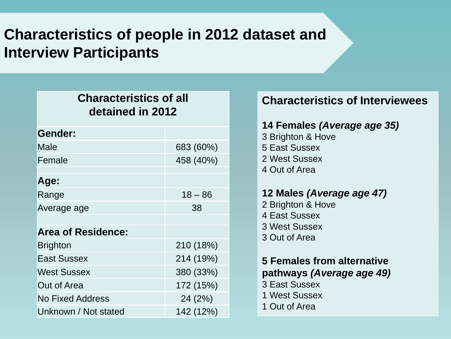### **Characteristics of people in 2012 dataset and Interview Participants**

| <b>Characteristics of all</b><br>detained in 2012 |           |  |  |  |
|---------------------------------------------------|-----------|--|--|--|
| Gender:                                           |           |  |  |  |
| Male                                              | 683 (60%) |  |  |  |
| Female                                            | 458 (40%) |  |  |  |
| Age:                                              |           |  |  |  |
| Range                                             | $18 - 86$ |  |  |  |
| Average age                                       | 38        |  |  |  |
|                                                   |           |  |  |  |
| <b>Area of Residence:</b>                         |           |  |  |  |
| <b>Brighton</b>                                   | 210 (18%) |  |  |  |
| <b>East Sussex</b>                                | 214 (19%) |  |  |  |
| <b>West Sussex</b>                                | 380 (33%) |  |  |  |
| Out of Area                                       | 172 (15%) |  |  |  |
| <b>No Fixed Address</b>                           | 24 (2%)   |  |  |  |
| Unknown / Not stated                              | 142 (12%) |  |  |  |

#### **Characteristics of Interviewees**

#### **14 Females** *(Average age 35)*

3 Brighton & Hove 5 East Sussex 2 West Sussex 4 Out of Area

#### **12 Males** *(Average age 47)*

2 Brighton & Hove 4 East Sussex 3 West Sussex 3 Out of Area

#### **5 Females from alternative pathways** *(Average age 49)*

- 3 East Sussex
- 1 West Sussex
- 1 Out of Area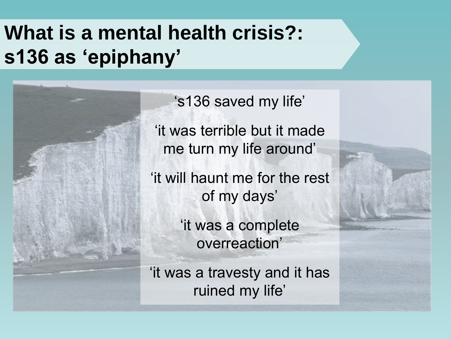## **What is a mental health crisis?: s136 as 'epiphany'**

's136 saved my life' 'it was terrible but it made me turn my life around' 'it will haunt me for the rest of my days' 'it was a complete overreaction'

'it was a travesty and it has ruined my life'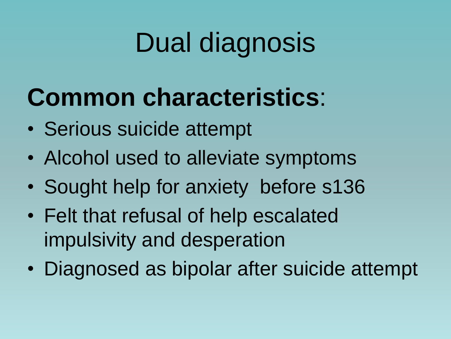# Dual diagnosis

# **Common characteristics**:

- Serious suicide attempt
- Alcohol used to alleviate symptoms
- Sought help for anxiety before s136
- Felt that refusal of help escalated impulsivity and desperation
- Diagnosed as bipolar after suicide attempt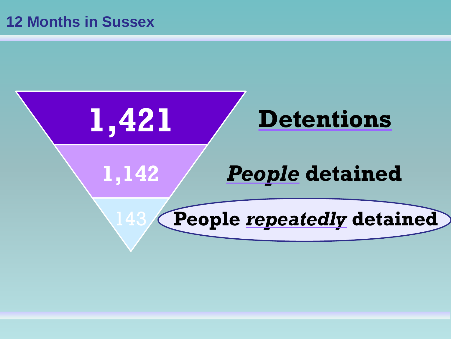### **12 Months in Sussex**

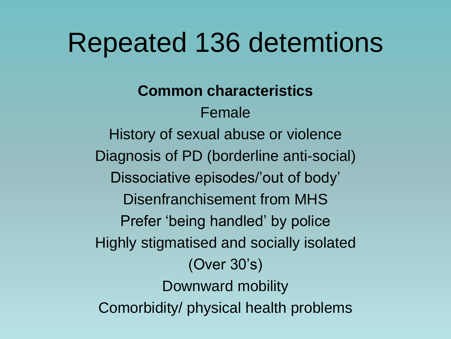# Repeated 136 detemtions

### **Common characteristics**

Female History of sexual abuse or violence Diagnosis of PD (borderline anti-social) Dissociative episodes/'out of body' Disenfranchisement from MHS Prefer 'being handled' by police Highly stigmatised and socially isolated (Over 30's) Downward mobility Comorbidity/ physical health problems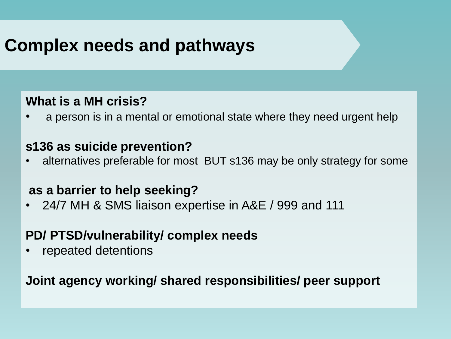### **Complex needs and pathways**

#### **What is a MH crisis?**

• a person is in a mental or emotional state where they need urgent help

#### **s136 as suicide prevention?**

• alternatives preferable for most BUT s136 may be only strategy for some

#### **as a barrier to help seeking?**

• 24/7 MH & SMS liaison expertise in A&E / 999 and 111

#### **PD/ PTSD/vulnerability/ complex needs**

• repeated detentions

**Joint agency working/ shared responsibilities/ peer support**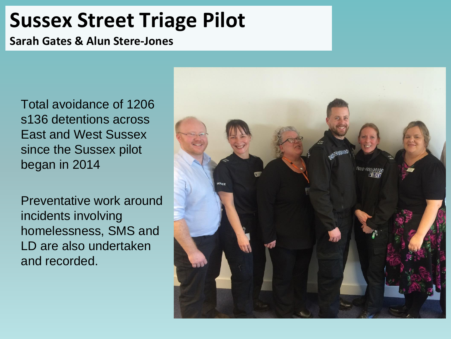## **Sussex Street Triage Pilot**

**Sarah Gates & Alun Stere-Jones**

Total avoidance of 1206 s136 detentions across East and West Sussex since the Sussex pilot began in 2014

Preventative work around incidents involving homelessness, SMS and LD are also undertaken and recorded.

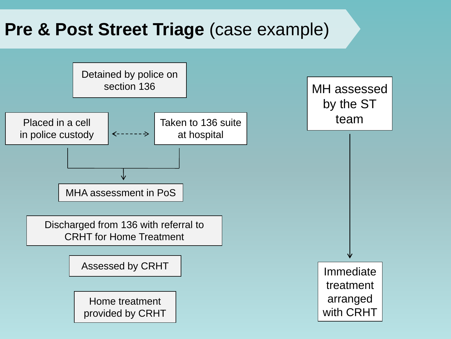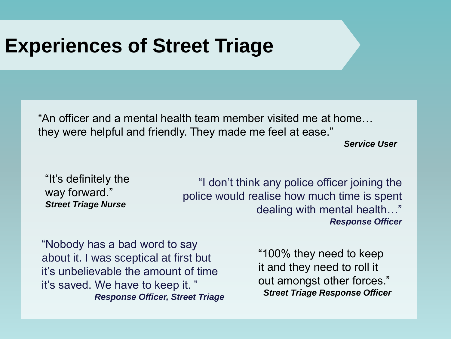### **Experiences of Street Triage**

"An officer and a mental health team member visited me at home… they were helpful and friendly. They made me feel at ease."

*Service User*

"It's definitely the way forward." *Street Triage Nurse*

"I don't think any police officer joining the police would realise how much time is spent dealing with mental health…" *Response Officer*

"Nobody has a bad word to say about it. I was sceptical at first but it's unbelievable the amount of time it's saved. We have to keep it. " *Response Officer, Street Triage*

"100% they need to keep it and they need to roll it out amongst other forces." *Street Triage Response Officer*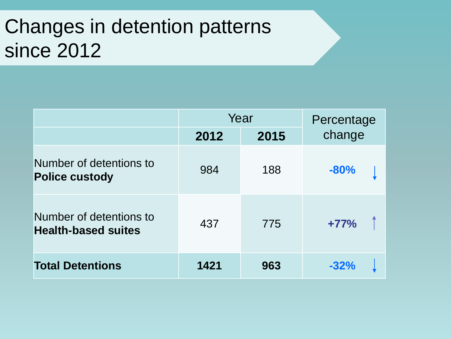# Changes in detention patterns since 2012

|                                                       | Year |      | Percentage |  |
|-------------------------------------------------------|------|------|------------|--|
|                                                       | 2012 | 2015 | change     |  |
| Number of detentions to<br><b>Police custody</b>      | 984  | 188  | $-80%$     |  |
| Number of detentions to<br><b>Health-based suites</b> | 437  | 775  | $+77%$     |  |
| <b>Total Detentions</b>                               | 1421 | 963  | $-32%$     |  |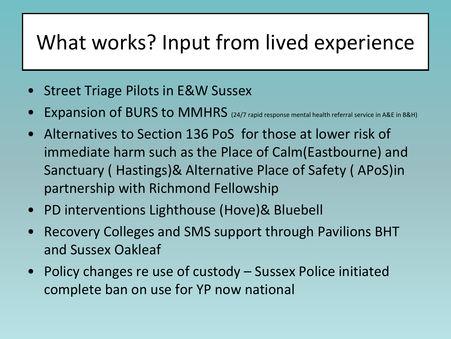# What works? Input from lived experience

- Street Triage Pilots in E&W Sussex
- Expansion of BURS to MMHRS (24/7 rapid response mental health referral service in A&E in B&H)
- Alternatives to Section 136 PoS for those at lower risk of immediate harm such as the Place of Calm(Eastbourne) and Sanctuary ( Hastings)& Alternative Place of Safety ( APoS)in partnership with Richmond Fellowship
- PD interventions Lighthouse (Hove)& Bluebell
- Recovery Colleges and SMS support through Pavilions BHT and Sussex Oakleaf
- Policy changes re use of custody Sussex Police initiated complete ban on use for YP now national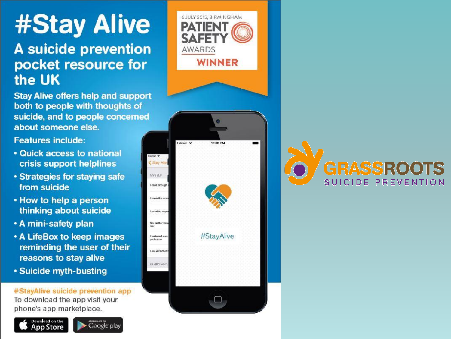# **#Stay Alive**

#### A suicide prevention pocket resource for the UK

**Stay Alive offers help and support** both to people with thoughts of suicide, and to people concerned about someone else.

**Features include:** 

- . Quick access to national crisis support helplines
- Strategies for staving safe from suicide
- How to help a person thinking about suicide
- . A mini-safety plan
- A LifeBox to keep images reminding the user of their reasons to stay alive
- Suicide myth-busting

#StayAlive suicide prevention app To download the app visit your phone's app marketplace.







**GRASSROOTS** SUICIDE PREVENTION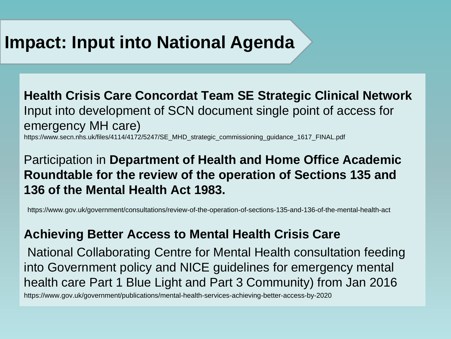### **Impact: Input into National Agenda**

**Health Crisis Care Concordat Team SE Strategic Clinical Network**  Input into development of SCN document single point of access for emergency MH care)

https://www.secn.nhs.uk/files/4114/4172/5247/SE\_MHD\_strategic\_commissioning\_guidance\_1617\_FINAL.pdf

#### Participation in **Department of Health and Home Office Academic Roundtable for the review of the operation of Sections 135 and 136 of the Mental Health Act 1983.**

https://www.gov.uk/government/consultations/review-of-the-operation-of-sections-135-and-136-of-the-mental-health-act

#### **Achieving Better Access to Mental Health Crisis Care**

National Collaborating Centre for Mental Health consultation feeding into Government policy and NICE guidelines for emergency mental health care Part 1 Blue Light and Part 3 Community) from Jan 2016

https://www.gov.uk/government/publications/mental-health-services-achieving-better-access-by-2020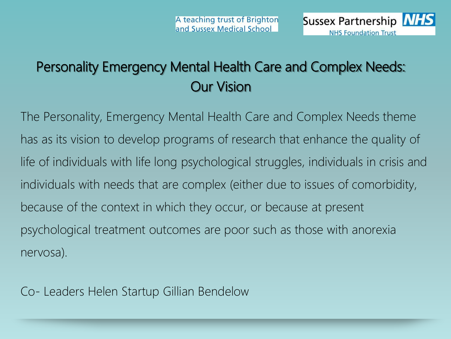

### Personality Emergency Mental Health Care and Complex Needs: Our Vision

The Personality, Emergency Mental Health Care and Complex Needs theme has as its vision to develop programs of research that enhance the quality of life of individuals with life long psychological struggles, individuals in crisis and individuals with needs that are complex (either due to issues of comorbidity, because of the context in which they occur, or because at present psychological treatment outcomes are poor such as those with anorexia nervosa).

Co- Leaders Helen Startup Gillian Bendelow